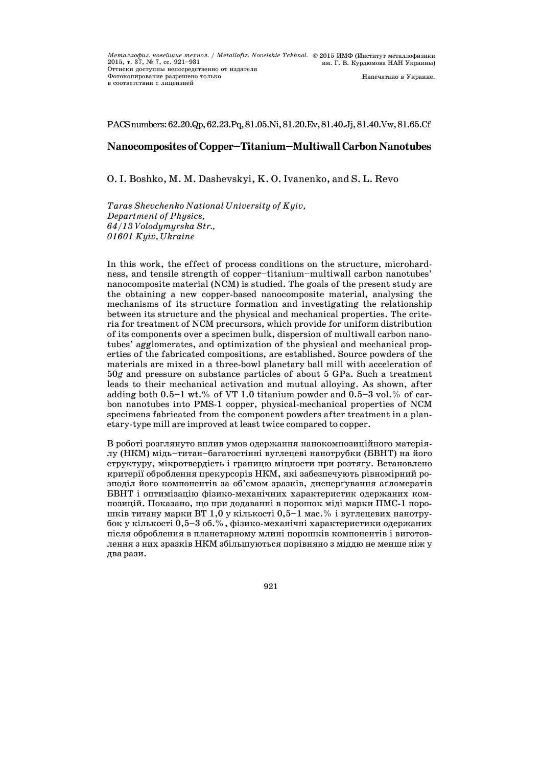PACSnumbers:62.20.Qp,62.23.Pq,81.05.Ni,81.20.Ev,81.40.Jj,81.40.Vw,81.65.Cf

# **NanocompositesofCopper—Titanium—MultiwallCarbonNanotubes**

O. I. Boshko, M. M. Dashevskyi, K. O. Ivanenko, and S. L. Revo

*Taras Shevchenko National University of Kyiv, Department of Physics, 64/13 Volodymyrska Str., 01601 Kyiv, Ukraine* 

In this work, the effect of process conditions on the structure, microhardness, and tensile strength of copper—titanium—multiwall carbon nanotubes' nanocomposite material (NCM) is studied. The goals of the present study are the obtaining a new copper-based nanocomposite material, analysing the mechanisms of its structure formation and investigating the relationship between its structure and the physical and mechanical properties. The criteria for treatment of NCM precursors, which provide for uniform distribution of its components over a specimen bulk, dispersion of multiwall carbon nanotubes' agglomerates, and optimization of the physical and mechanical properties of the fabricated compositions, are established. Source powders of the materials are mixed in a three-bowl planetary ball mill with acceleration of 50*g* and pressure on substance particles of about 5 GPa. Such a treatment leads to their mechanical activation and mutual alloying. As shown, after adding both  $0.5-1$  wt.% of VT 1.0 titanium powder and  $0.5-3$  vol.% of carbon nanotubes into PMS-1 copper, physical-mechanical properties of NCM specimens fabricated from the component powders after treatment in a planetary-type mill are improved at least twice compared to copper.

В роботі розглянуто вплив умов одержання нанокомпозиційного матеріялу (НКМ) мідь—титан—багатостінні вуглецеві нанотрубки (БВНТ) на його структуру, мікротвердість і границю міцности при розтягу. Встановлено критерії оброблення прекурсорів НКМ, які забезпечують рівномірний розподіл його компонентів за об'ємом зразків, дисперґування аґломератів БВНТ і оптимізацію фізико-механічних характеристик одержаних композицій. Показано, що при додаванні в порошок міді марки ПМС-1 порошків титану марки ВТ 1,0 у кількості 0,5—1 мас.% і вуглецевих нанотрубок у кількості 0,5—3 об.%, фізико-механічні характеристики одержаних після оброблення в планетарному млині порошків компонентів і виготовлення з них зразків НКМ збільшуються порівняно з міддю не менше ніж у два рази.

921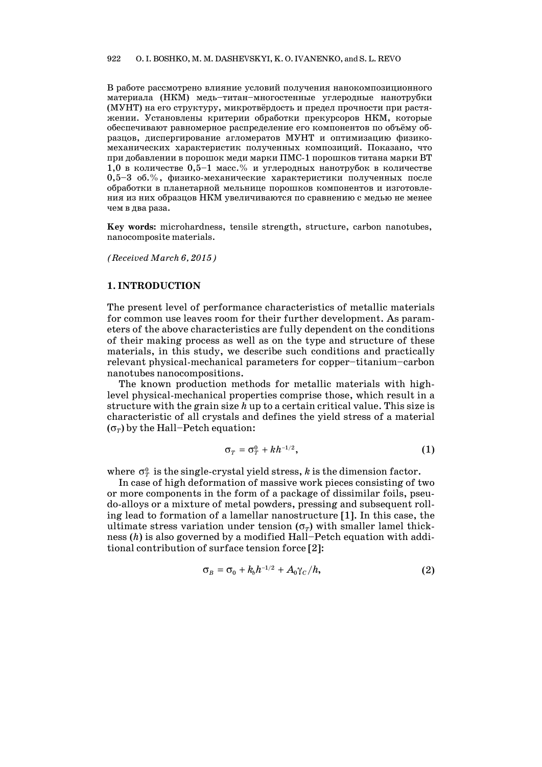В работе рассмотрено влияние условий получения нанокомпозиционного материала (НКМ) медь—титан—многостенные углеродные нанотрубки (МУНТ) на его структуру, микротвёрдость и предел прочности при растяжении. Установлены критерии обработки прекурсоров НКМ, которые обеспечивают равномерное распределение его компонентов по объёму образцов, диспергирование агломератов МУНТ и оптимизацию физикомеханических характеристик полученных композиций. Показано, что при добавлении в порошок меди марки ПМС-1 порошков титана марки ВТ 1,0 в количестве 0,5—1 масс.% и углеродных нанотрубок в количестве 0,5—3 об.%, физико-механические характеристики полученных после обработки в планетарной мельнице порошков компонентов и изготовления из них образцов НКМ увеличиваются по сравнению с медью не менее чем в два раза.

**Key words:** microhardness, tensile strength, structure, carbon nanotubes, nanocomposite materials.

*(Received March 6, 2015)*

# **1. INTRODUCTION**

The present level of performance characteristics of metallic materials for common use leaves room for their further development. As parameters of the above characteristics are fully dependent on the conditions of their making process as well as on the type and structure of these materials, in this study, we describe such conditions and practically relevant physical-mechanical parameters for copper—titanium—carbon nanotubes nanocompositions.

 The known production methods for metallic materials with highlevel physical-mechanical properties comprise those, which result in a structure with the grain size *h* up to a certain critical value. This size is characteristic of all crystals and defines the yield stress of a material  $(\sigma_r)$  by the Hall–Petch equation:

$$
\sigma_T = \sigma_T^0 + kh^{-1/2}, \qquad (1)
$$

where  $\sigma_{\tau}^0$  is the single-crystal yield stress, *k* is the dimension factor.

 In case of high deformation of massive work pieces consisting of two or more components in the form of a package of dissimilar foils, pseudo-alloys or a mixture of metal powders, pressing and subsequent rolling lead to formation of a lamellar nanostructure [1]. In this case, the ultimate stress variation under tension  $(\sigma_T)$  with smaller lamel thickness (*h*) is also governed by a modified Hall—Petch equation with additional contribution of surface tension force [2]:

$$
\sigma_B = \sigma_0 + k_b h^{-1/2} + A_0 \gamma_C / h, \qquad (2)
$$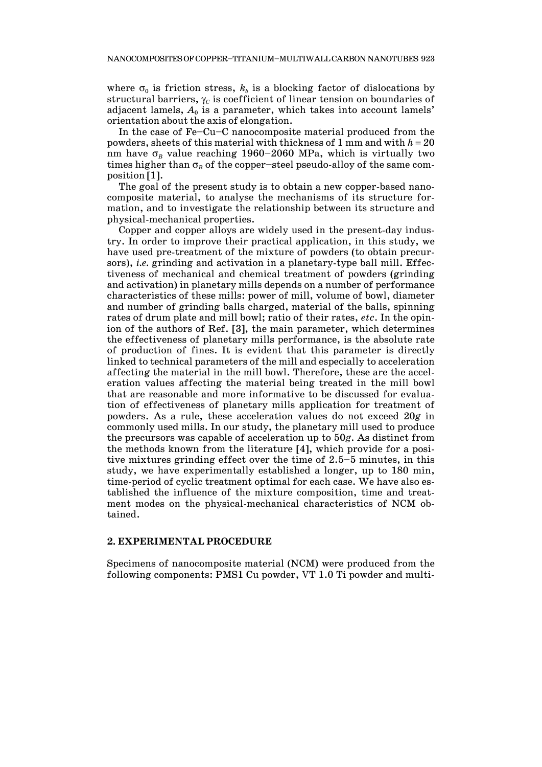where  $\sigma_0$  is friction stress,  $k_b$  is a blocking factor of dislocations by structural barriers,  $\gamma_c$  is coefficient of linear tension on boundaries of adjacent lamels,  $A_0$  is a parameter, which takes into account lamels' orientation about the axis of elongation.

 In the case of Fe—Cu—C nanocomposite material produced from the powders, sheets of this material with thickness of 1 mm and with  $h = 20$ nm have  $\sigma_B$  value reaching 1960–2060 MPa, which is virtually two times higher than  $\sigma_B$  of the copper-steel pseudo-alloy of the same composition [1].

 The goal of the present study is to obtain a new copper-based nanocomposite material, to analyse the mechanisms of its structure formation, and to investigate the relationship between its structure and physical-mechanical properties.

 Copper and copper alloys are widely used in the present-day industry. In order to improve their practical application, in this study, we have used pre-treatment of the mixture of powders (to obtain precursors), *i.e.* grinding and activation in a planetary-type ball mill. Effectiveness of mechanical and chemical treatment of powders (grinding and activation) in planetary mills depends on a number of performance characteristics of these mills: power of mill, volume of bowl, diameter and number of grinding balls charged, material of the balls, spinning rates of drum plate and mill bowl; ratio of their rates, *etc*. In the opinion of the authors of Ref. [3], the main parameter, which determines the effectiveness of planetary mills performance, is the absolute rate of production of fines. It is evident that this parameter is directly linked to technical parameters of the mill and especially to acceleration affecting the material in the mill bowl. Therefore, these are the acceleration values affecting the material being treated in the mill bowl that are reasonable and more informative to be discussed for evaluation of effectiveness of planetary mills application for treatment of powders. As a rule, these acceleration values do not exceed 20*g* in commonly used mills. In our study, the planetary mill used to produce the precursors was capable of acceleration up to 50*g*. As distinct from the methods known from the literature [4], which provide for a positive mixtures grinding effect over the time of 2.5—5 minutes, in this study, we have experimentally established a longer, up to 180 min, time-period of cyclic treatment optimal for each case. We have also established the influence of the mixture composition, time and treatment modes on the physical-mechanical characteristics of NCM obtained.

## **2. EXPERIMENTAL PROCEDURE**

Specimens of nanocomposite material (NCM) were produced from the following components: PMS1 Cu powder, VT 1.0 Ti powder and multi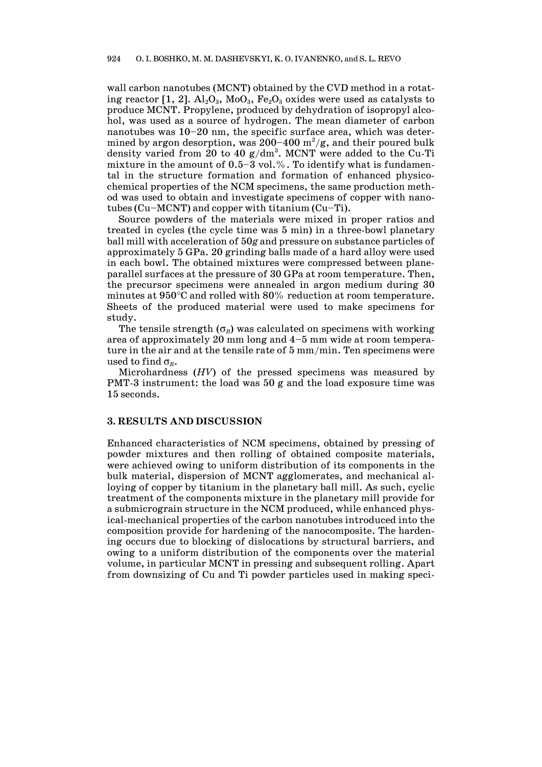wall carbon nanotubes (MCNT) obtained by the CVD method in a rotating reactor [1, 2].  $\text{Al}_2\text{O}_3$ ,  $\text{MoO}_3$ ,  $\text{Fe}_2\text{O}_3$  oxides were used as catalysts to produce MCNT. Propylene, produced by dehydration of isopropyl alcohol, was used as a source of hydrogen. The mean diameter of carbon nanotubes was 10—20 nm, the specific surface area, which was determined by argon desorption, was 200–400  $\mathrm{m}^2/\mathrm{g}$ , and their poured bulk density varied from 20 to 40  $g/dm^3$ . MCNT were added to the Cu-Ti mixture in the amount of  $0.5-3$  vol.%. To identify what is fundamental in the structure formation and formation of enhanced physicochemical properties of the NCM specimens, the same production method was used to obtain and investigate specimens of copper with nanotubes (Cu–MCNT) and copper with titanium  $(Cu-Ti)$ .

 Source powders of the materials were mixed in proper ratios and treated in cycles (the cycle time was 5 min) in a three-bowl planetary ball mill with acceleration of 50*g* and pressure on substance particles of approximately 5 GPa. 20 grinding balls made of a hard alloy were used in each bowl. The obtained mixtures were compressed between planeparallel surfaces at the pressure of 30 GPa at room temperature. Then, the precursor specimens were annealed in argon medium during 30 minutes at  $950^{\circ}$ C and rolled with  $80\%$  reduction at room temperature. Sheets of the produced material were used to make specimens for study.

The tensile strength  $(\sigma_B)$  was calculated on specimens with working area of approximately 20 mm long and 4—5 mm wide at room temperature in the air and at the tensile rate of 5 mm/min. Ten specimens were used to find  $\sigma_{\rm g}$ .

 Microhardness (*HV*) of the pressed specimens was measured by PMT-3 instrument: the load was 50 g and the load exposure time was 15 seconds.

#### **3. RESULTS AND DISCUSSION**

Enhanced characteristics of NCM specimens, obtained by pressing of powder mixtures and then rolling of obtained composite materials, were achieved owing to uniform distribution of its components in the bulk material, dispersion of MCNT agglomerates, and mechanical alloying of copper by titanium in the planetary ball mill. As such, cyclic treatment of the components mixture in the planetary mill provide for a submicrograin structure in the NCM produced, while enhanced physical-mechanical properties of the carbon nanotubes introduced into the composition provide for hardening of the nanocomposite. The hardening occurs due to blocking of dislocations by structural barriers, and owing to a uniform distribution of the components over the material volume, in particular MCNT in pressing and subsequent rolling. Apart from downsizing of Cu and Ti powder particles used in making speci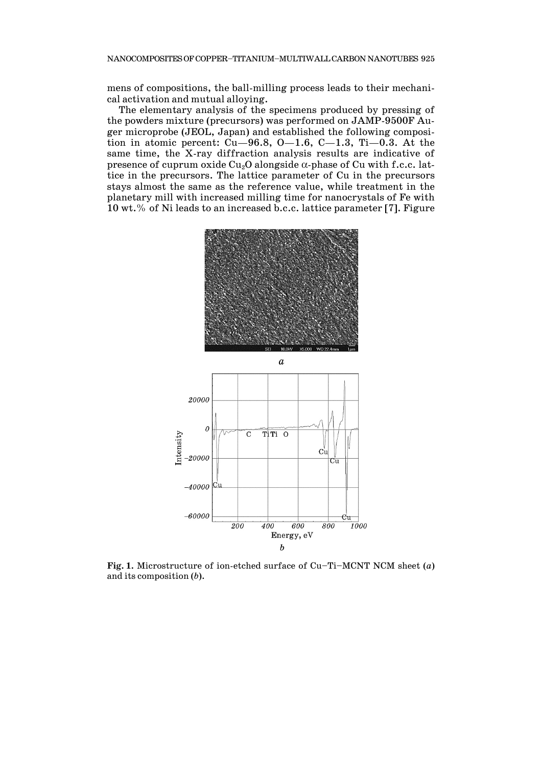mens of compositions, the ball-milling process leads to their mechanical activation and mutual alloying.

 The elementary analysis of the specimens produced by pressing of the powders mixture (precursors) was performed on JAMP-9500F Auger microprobe (JEOL, Japan) and established the following composition in atomic percent: Cu–96.8, O–1.6, C–1.3, Ti–0.3. At the same time, the X-ray diffraction analysis results are indicative of presence of cuprum oxide  $Cu<sub>2</sub>O$  alongside  $\alpha$ -phase of Cu with f.c.c. lattice in the precursors. The lattice parameter of Cu in the precursors stays almost the same as the reference value, while treatment in the planetary mill with increased milling time for nanocrystals of Fe with 10 wt.% of Ni leads to an increased b.c.c. lattice parameter [7]. Figure



**Fig. 1.** Microstructure of ion-etched surface of Cu—Ti—MCNT NCM sheet (*a*) and its composition (*b*).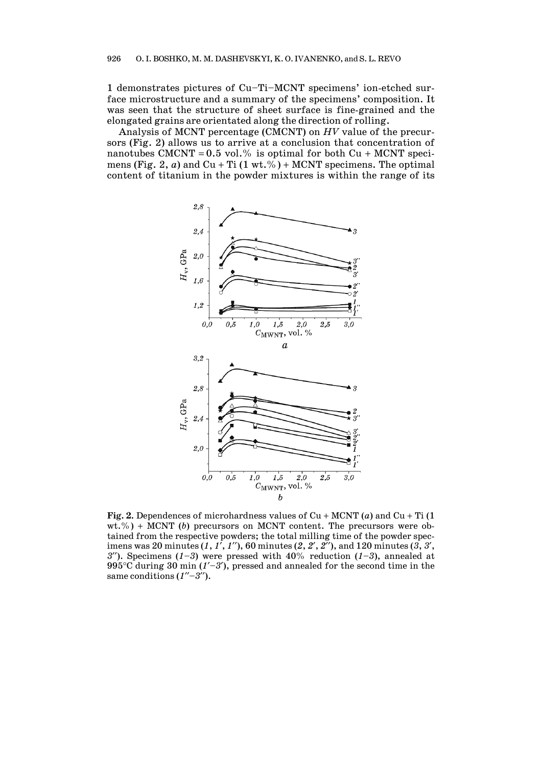1 demonstrates pictures of Cu—Ti—MCNT specimens' ion-etched surface microstructure and a summary of the specimens' composition. It was seen that the structure of sheet surface is fine-grained and the elongated grains are orientated along the direction of rolling.

 Analysis of MCNT percentage (CMCNT) on *HV* value of the precursors (Fig. 2) allows us to arrive at a conclusion that concentration of nanotubes CMCNT =  $0.5$  vol.% is optimal for both Cu + MCNT specimens (Fig. 2, *a*) and  $Cu + Ti (1 wt. %) + MCNT specimens$ . The optimal content of titanium in the powder mixtures is within the range of its



**Fig.** 2. Dependences of microhardness values of Cu + MCNT (*a*) and Cu + Ti (1  $wt.\%$ ) + MCNT (*b*) precursors on MCNT content. The precursors were obtained from the respective powders; the total milling time of the powder specimens was 20 minutes (*1*, *1*, *1*), 60 minutes (*2*, *2*, *2*), and 120 minutes (*3*, *3*, *3*<sup> $'$ </sup>). Specimens (*1*–*3*) were pressed with 40% reduction (*1*–*3*), annealed at 995<sup>°</sup>C during 30 min  $(I'-3')$ , pressed and annealed for the second time in the same conditions  $(1''-3'')$ .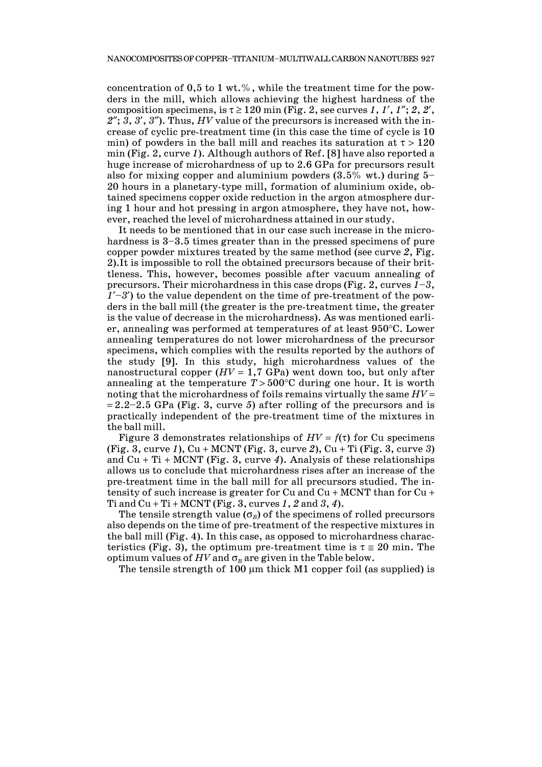concentration of 0,5 to 1 wt.%, while the treatment time for the powders in the mill, which allows achieving the highest hardness of the composition specimens, is  $\tau \geq 120$  min (Fig. 2, see curves 1, 1', 1''; 2, 2', *2*; *3*, *3*, *3*). Thus, *HV* value of the precursors is increased with the increase of cyclic pre-treatment time (in this case the time of cycle is 10 min) of powders in the ball mill and reaches its saturation at  $\tau > 120$ min (Fig. 2, curve *1*). Although authors of Ref. [8] have also reported a huge increase of microhardness of up to 2.6 GPa for precursors result also for mixing copper and aluminium powders  $(3.5\%$  wt.) during 5-20 hours in a planetary-type mill, formation of aluminium oxide, obtained specimens copper oxide reduction in the argon atmosphere during 1 hour and hot pressing in argon atmosphere, they have not, however, reached the level of microhardness attained in our study.

 It needs to be mentioned that in our case such increase in the microhardness is  $3-3.5$  times greater than in the pressed specimens of pure copper powder mixtures treated by the same method (see curve *2*, Fig. 2).It is impossible to roll the obtained precursors because of their brittleness. This, however, becomes possible after vacuum annealing of precursors. Their microhardness in this case drops (Fig. 2, curves *1*—*3*,  $1'-3'$  to the value dependent on the time of pre-treatment of the powders in the ball mill (the greater is the pre-treatment time, the greater is the value of decrease in the microhardness). As was mentioned earlier, annealing was performed at temperatures of at least 950°C. Lower annealing temperatures do not lower microhardness of the precursor specimens, which complies with the results reported by the authors of the study [9]. In this study, high microhardness values of the nanostructural copper  $(HV = 1, 7 \text{ GPa})$  went down too, but only after annealing at the temperature  $T > 500^{\circ}$ C during one hour. It is worth noting that the microhardness of foils remains virtually the same *HV*  $= 2.2 - 2.5$  GPa (Fig. 3, curve 5) after rolling of the precursors and is practically independent of the pre-treatment time of the mixtures in the ball mill.

Figure 3 demonstrates relationships of  $HV = f(\tau)$  for Cu specimens  $(Fig. 3, curve 1), Cu + MCNT (Fig. 3, curve 2), Cu + Ti (Fig. 3, curve 3)$ and  $Cu + Ti + MCNT$  (Fig. 3, curve 4). Analysis of these relationships allows us to conclude that microhardness rises after an increase of the pre-treatment time in the ball mill for all precursors studied. The intensity of such increase is greater for Cu and  $Cu + MCNT$  than for  $Cu +$ Ti and  $Cu + Ti + MCNT$  (Fig. 3, curves 1, 2 and 3, 4).

The tensile strength value  $(\sigma_R)$  of the specimens of rolled precursors also depends on the time of pre-treatment of the respective mixtures in the ball mill (Fig. 4). In this case, as opposed to microhardness characteristics (Fig. 3), the optimum pre-treatment time is  $\tau \approx 20$  min. The optimum values of  $HV$  and  $\sigma_B$  are given in the Table below.

The tensile strength of  $100 \mu m$  thick M1 copper foil (as supplied) is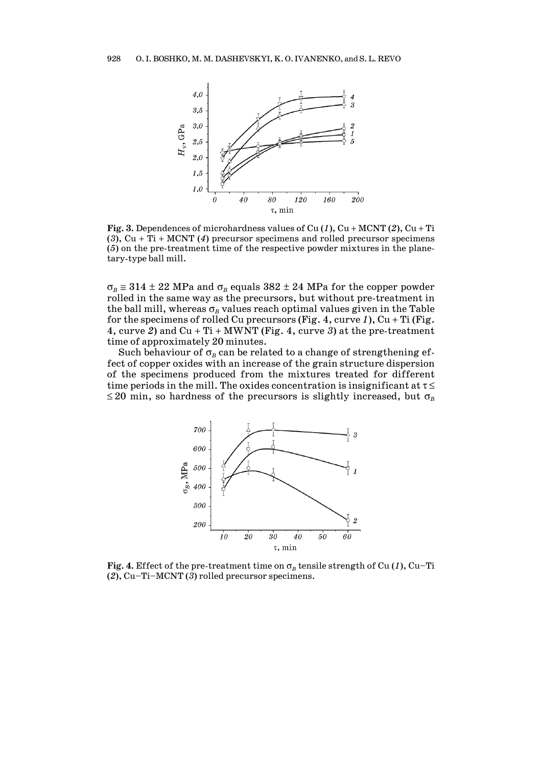

**Fig.** 3. Dependences of microhardness values of Cu  $(1)$ , Cu + MCNT  $(2)$ , Cu + Ti (3),  $Cu + Ti + MCNT$  (4) precursor specimens and rolled precursor specimens (*5*) on the pre-treatment time of the respective powder mixtures in the planetary-type ball mill.

 $\sigma_B \approx 314 \pm 22$  MPa and  $\sigma_B$  equals  $382 \pm 24$  MPa for the copper powder rolled in the same way as the precursors, but without pre-treatment in the ball mill, whereas  $\sigma_B$  values reach optimal values given in the Table for the specimens of rolled Cu precursors (Fig. 4, curve  $1$ ), Cu + Ti (Fig. 4, curve 2) and  $Cu + Ti + MWNT$  (Fig. 4, curve 3) at the pre-treatment time of approximately 20 minutes.

Such behaviour of  $\sigma_B$  can be related to a change of strengthening effect of copper oxides with an increase of the grain structure dispersion of the specimens produced from the mixtures treated for different time periods in the mill. The oxides concentration is insignificant at  $\tau \leq$  $\leq$  20 min, so hardness of the precursors is slightly increased, but  $\sigma_B$ 



**Fig.** 4. Effect of the pre-treatment time on  $\sigma_R$  tensile strength of Cu (1), Cu–Ti (*2*), Cu—Ti—MCNT (*3*) rolled precursor specimens.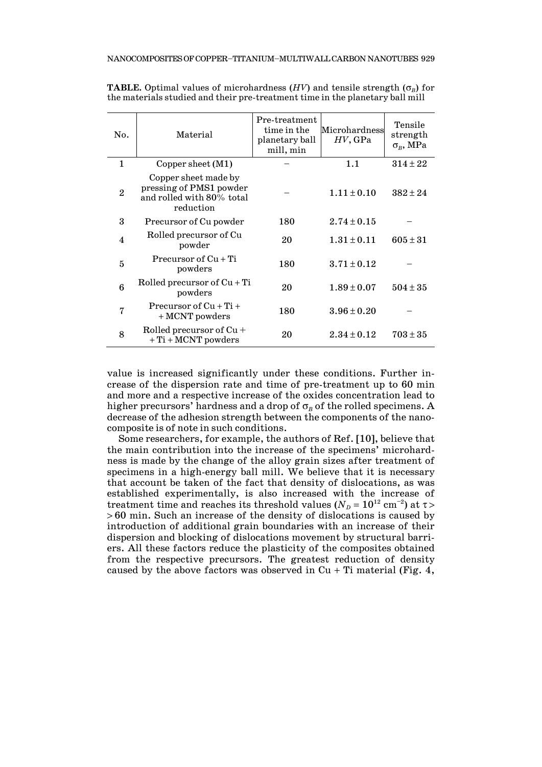| No.                     | Material                                                                                  | Pre-treatment<br>time in the<br>planetary ball<br>mill, min | Microhardness<br>HV, GPa | Tensile<br>strength<br>$\sigma_{\scriptscriptstyle R}$ , MPa |
|-------------------------|-------------------------------------------------------------------------------------------|-------------------------------------------------------------|--------------------------|--------------------------------------------------------------|
| 1                       | Copper sheet $(M1)$                                                                       |                                                             | 1.1                      | $314 \pm 22$                                                 |
| $\overline{2}$          | Copper sheet made by<br>pressing of PMS1 powder<br>and rolled with 80% total<br>reduction |                                                             | $1.11 \pm 0.10$          | $382 \pm 24$                                                 |
| 3                       | Precursor of Cu powder                                                                    | 180                                                         | $2.74 \pm 0.15$          |                                                              |
| $\overline{\mathbf{4}}$ | Rolled precursor of Cu<br>powder                                                          | 20                                                          | $1.31 \pm 0.11$          | $605 \pm 31$                                                 |
| $\overline{5}$          | Precursor of $Cu + Ti$<br>powders                                                         | 180                                                         | $3.71 \pm 0.12$          |                                                              |
| 6                       | Rolled precursor of $Cu + Ti$<br>powders                                                  | 20                                                          | $1.89 \pm 0.07$          | $504 \pm 35$                                                 |
| 7                       | Precursor of $Cu + Ti +$<br>$+ MCNT$ powders                                              | 180                                                         | $3.96 \pm 0.20$          |                                                              |
| 8                       | Rolled precursor of $Cu +$<br>$+ Ti + MCNT$ powders                                       | 20                                                          | $2.34 \pm 0.12$          | $703 \pm 35$                                                 |

**TABLE.** Optimal values of microhardness  $(HV)$  and tensile strength  $(\sigma_R)$  for the materials studied and their pre-treatment time in the planetary ball mill

value is increased significantly under these conditions. Further increase of the dispersion rate and time of pre-treatment up to 60 min and more and a respective increase of the oxides concentration lead to higher precursors' hardness and a drop of  $\sigma_B$  of the rolled specimens. A decrease of the adhesion strength between the components of the nanocomposite is of note in such conditions.

 Some researchers, for example, the authors of Ref. [10], believe that the main contribution into the increase of the specimens' microhardness is made by the change of the alloy grain sizes after treatment of specimens in a high-energy ball mill. We believe that it is necessary that account be taken of the fact that density of dislocations, as was established experimentally, is also increased with the increase of treatment time and reaches its threshold values ( $N_D=10^{12}$  cm<sup>-2</sup>) at  $\tau$  >  $>60$  min. Such an increase of the density of dislocations is caused by introduction of additional grain boundaries with an increase of their dispersion and blocking of dislocations movement by structural barriers. All these factors reduce the plasticity of the composites obtained from the respective precursors. The greatest reduction of density caused by the above factors was observed in  $Cu + Ti$  material (Fig. 4,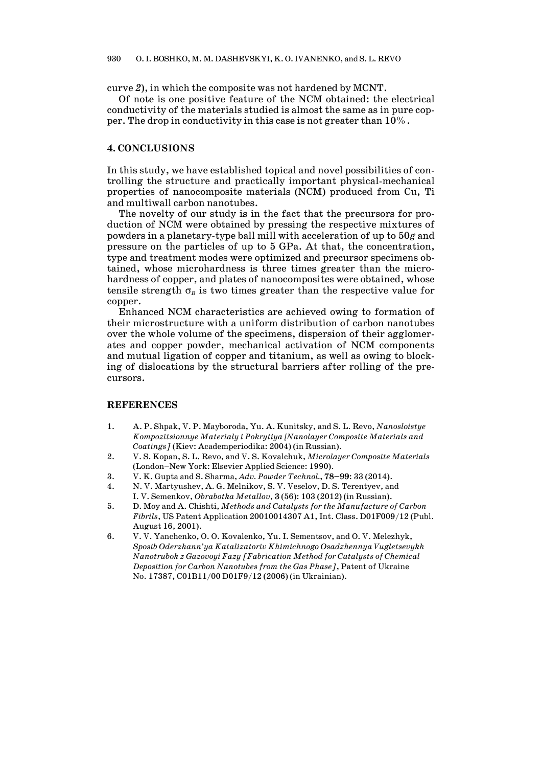curve *2*), in which the composite was not hardened by MCNT.

 Of note is one positive feature of the NCM obtained: the electrical conductivity of the materials studied is almost the same as in pure copper. The drop in conductivity in this case is not greater than 10%.

## **4. CONCLUSIONS**

In this study, we have established topical and novel possibilities of controlling the structure and practically important physical-mechanical properties of nanocomposite materials (NCM) produced from Cu, Ti and multiwall carbon nanotubes.

 The novelty of our study is in the fact that the precursors for production of NCM were obtained by pressing the respective mixtures of powders in a planetary-type ball mill with acceleration of up to 50*g* and pressure on the particles of up to 5 GPa. At that, the concentration, type and treatment modes were optimized and precursor specimens obtained, whose microhardness is three times greater than the microhardness of copper, and plates of nanocomposites were obtained, whose tensile strength  $\sigma_B$  is two times greater than the respective value for copper.

 Enhanced NCM characteristics are achieved owing to formation of their microstructure with a uniform distribution of carbon nanotubes over the whole volume of the specimens, dispersion of their agglomerates and copper powder, mechanical activation of NCM components and mutual ligation of copper and titanium, as well as owing to blocking of dislocations by the structural barriers after rolling of the precursors.

#### **REFERENCES**

- 1. A. P. Shpak, V. P. Mayboroda, Yu. A. Kunitsky, and S. L. Revo, *Nanosloistye Kompozitsionnye Materialy i Pokrytiya [Nanolayer Composite Materials and Coatings]* (Kiev: Academperiodika: 2004) (in Russian).
- 2. V. S. Kopan, S. L. Revo, and V. S. Kovalchuk, *Microlayer Composite Materials* (London—New York: Elsevier Applied Science: 1990).
- 3. V. K. Gupta and S. Sharma, *Adv. Powder Technol.*, **78—99**: 33 (2014).
- 4. N. V. Martyushev, A. G. Melnikov, S. V. Veselov, D. S. Terentyev, and
- I. V. Semenkov, *Obrabotka Metallov*, **3** (56): 103 (2012) (in Russian). 5. D. Moy and A. Chishti, *Methods and Catalysts for the Manufacture of Carbon*
- *Fibrils*, US Patent Application 20010014307 A1, Int. Сlass. D01F009/12 (Publ. August 16, 2001).
- 6. V. V. Yanchenko, O. O. Kovalenko, Yu. I. Sementsov, and O. V. Melezhyk, *Sposib Oderzhann'ya Katalizatoriv Khimichnogo Osadzhennya Vugletsevykh Nanotrubok z Gazovoyi Fazy [Fabrication Method for Catalysts of Chemical Deposition for Carbon Nanotubes from the Gas Phase]*, Patent of Ukraine No. 17387, С01В11/00 D01F9/12 (2006) (in Ukrainian).